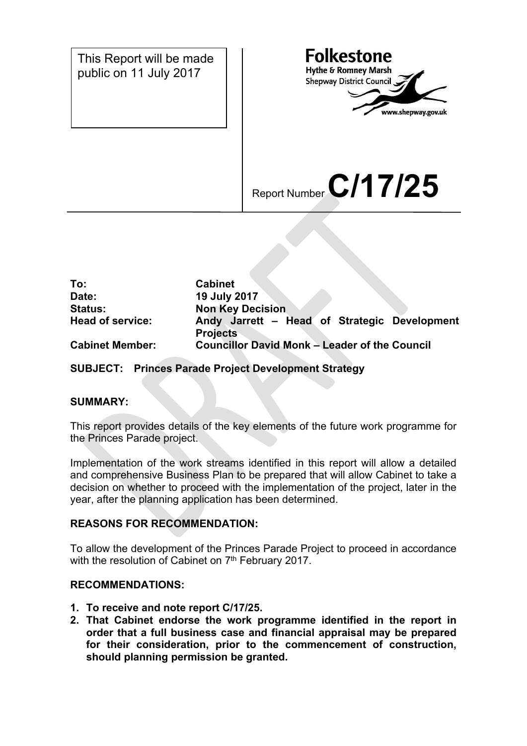

| To:                     | <b>Cabinet</b>                                                  |
|-------------------------|-----------------------------------------------------------------|
| Date:                   | 19 July 2017                                                    |
| <b>Status:</b>          | <b>Non Key Decision</b>                                         |
| <b>Head of service:</b> | Andy Jarrett - Head of Strategic Development<br><b>Projects</b> |
| <b>Cabinet Member:</b>  | <b>Councillor David Monk - Leader of the Council</b>            |

## **SUBJECT: Princes Parade Project Development Strategy**

### **SUMMARY:**

This report provides details of the key elements of the future work programme for the Princes Parade project.

Implementation of the work streams identified in this report will allow a detailed and comprehensive Business Plan to be prepared that will allow Cabinet to take a decision on whether to proceed with the implementation of the project, later in the year, after the planning application has been determined.

## **REASONS FOR RECOMMENDATION:**

To allow the development of the Princes Parade Project to proceed in accordance with the resolution of Cabinet on 7<sup>th</sup> February 2017.

### **RECOMMENDATIONS:**

- **1. To receive and note report C/17/25.**
- **2. That Cabinet endorse the work programme identified in the report in order that a full business case and financial appraisal may be prepared for their consideration, prior to the commencement of construction, should planning permission be granted.**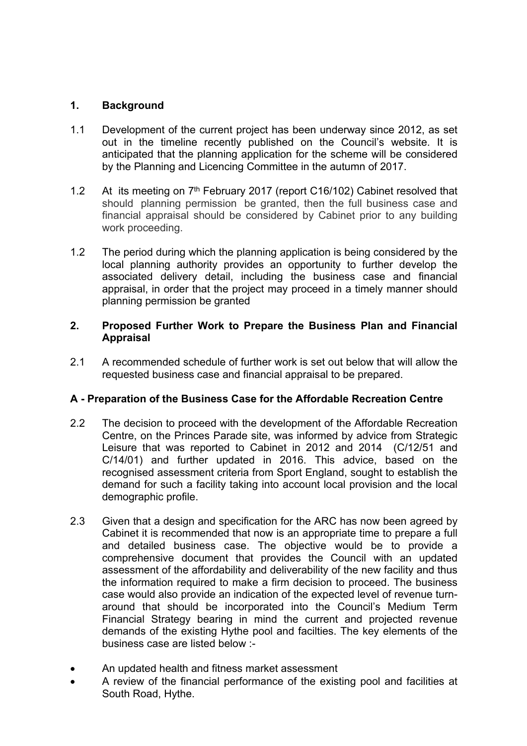## **1. Background**

- 1.1 Development of the current project has been underway since 2012, as set out in the timeline recently published on the Council's website. It is anticipated that the planning application for the scheme will be considered by the Planning and Licencing Committee in the autumn of 2017.
- 1.2 At its meeting on 7<sup>th</sup> February 2017 (report C16/102) Cabinet resolved that should planning permission be granted, then the full business case and financial appraisal should be considered by Cabinet prior to any building work proceeding.
- 1.2 The period during which the planning application is being considered by the local planning authority provides an opportunity to further develop the associated delivery detail, including the business case and financial appraisal, in order that the project may proceed in a timely manner should planning permission be granted

## **2. Proposed Further Work to Prepare the Business Plan and Financial Appraisal**

2.1 A recommended schedule of further work is set out below that will allow the requested business case and financial appraisal to be prepared.

# **A - Preparation of the Business Case for the Affordable Recreation Centre**

- 2.2 The decision to proceed with the development of the Affordable Recreation Centre, on the Princes Parade site, was informed by advice from Strategic Leisure that was reported to Cabinet in 2012 and 2014 (C/12/51 and C/14/01) and further updated in 2016. This advice, based on the recognised assessment criteria from Sport England, sought to establish the demand for such a facility taking into account local provision and the local demographic profile.
- 2.3 Given that a design and specification for the ARC has now been agreed by Cabinet it is recommended that now is an appropriate time to prepare a full and detailed business case. The objective would be to provide a comprehensive document that provides the Council with an updated assessment of the affordability and deliverability of the new facility and thus the information required to make a firm decision to proceed. The business case would also provide an indication of the expected level of revenue turnaround that should be incorporated into the Council's Medium Term Financial Strategy bearing in mind the current and projected revenue demands of the existing Hythe pool and facilties. The key elements of the business case are listed below :-
- An updated health and fitness market assessment
- A review of the financial performance of the existing pool and facilities at South Road, Hythe.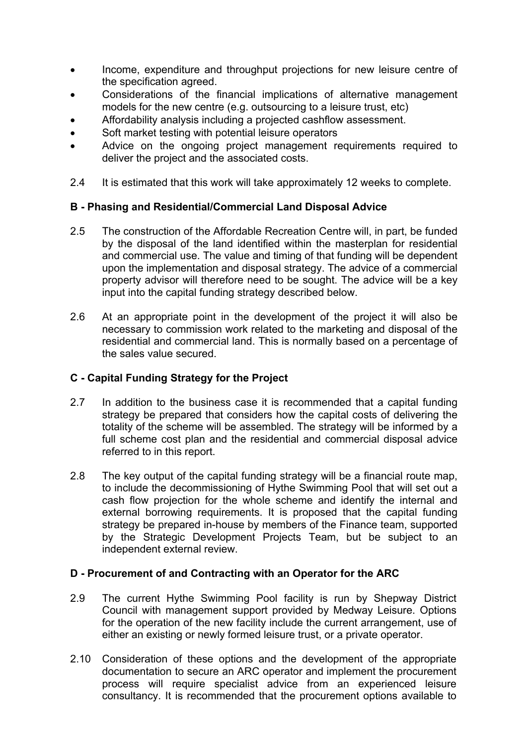- Income, expenditure and throughput projections for new leisure centre of the specification agreed.
- Considerations of the financial implications of alternative management models for the new centre (e.g. outsourcing to a leisure trust, etc)
- Affordability analysis including a projected cashflow assessment.
- Soft market testing with potential leisure operators
- Advice on the ongoing project management requirements required to deliver the project and the associated costs.
- 2.4 It is estimated that this work will take approximately 12 weeks to complete.

## **B - Phasing and Residential/Commercial Land Disposal Advice**

- 2.5 The construction of the Affordable Recreation Centre will, in part, be funded by the disposal of the land identified within the masterplan for residential and commercial use. The value and timing of that funding will be dependent upon the implementation and disposal strategy. The advice of a commercial property advisor will therefore need to be sought. The advice will be a key input into the capital funding strategy described below.
- 2.6 At an appropriate point in the development of the project it will also be necessary to commission work related to the marketing and disposal of the residential and commercial land. This is normally based on a percentage of the sales value secured.

## **C - Capital Funding Strategy for the Project**

- 2.7 In addition to the business case it is recommended that a capital funding strategy be prepared that considers how the capital costs of delivering the totality of the scheme will be assembled. The strategy will be informed by a full scheme cost plan and the residential and commercial disposal advice referred to in this report.
- 2.8 The key output of the capital funding strategy will be a financial route map, to include the decommissioning of Hythe Swimming Pool that will set out a cash flow projection for the whole scheme and identify the internal and external borrowing requirements. It is proposed that the capital funding strategy be prepared in-house by members of the Finance team, supported by the Strategic Development Projects Team, but be subject to an independent external review.

### **D - Procurement of and Contracting with an Operator for the ARC**

- 2.9 The current Hythe Swimming Pool facility is run by Shepway District Council with management support provided by Medway Leisure. Options for the operation of the new facility include the current arrangement, use of either an existing or newly formed leisure trust, or a private operator.
- 2.10 Consideration of these options and the development of the appropriate documentation to secure an ARC operator and implement the procurement process will require specialist advice from an experienced leisure consultancy. It is recommended that the procurement options available to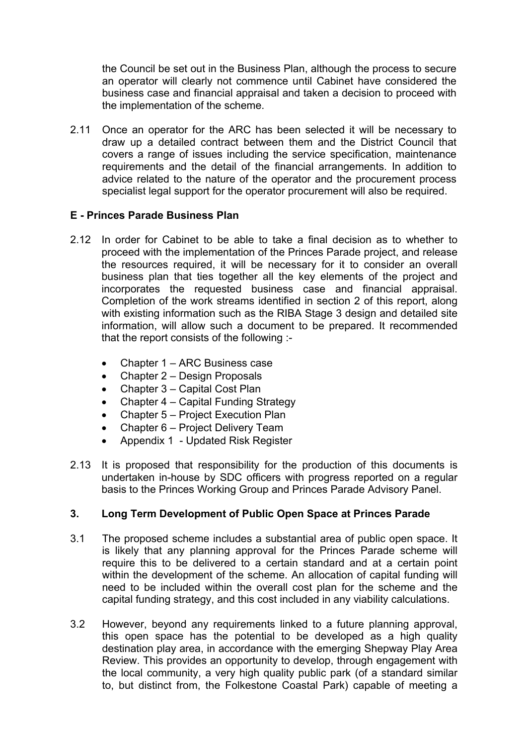the Council be set out in the Business Plan, although the process to secure an operator will clearly not commence until Cabinet have considered the business case and financial appraisal and taken a decision to proceed with the implementation of the scheme.

2.11 Once an operator for the ARC has been selected it will be necessary to draw up a detailed contract between them and the District Council that covers a range of issues including the service specification, maintenance requirements and the detail of the financial arrangements. In addition to advice related to the nature of the operator and the procurement process specialist legal support for the operator procurement will also be required.

## **E - Princes Parade Business Plan**

- 2.12 In order for Cabinet to be able to take a final decision as to whether to proceed with the implementation of the Princes Parade project, and release the resources required, it will be necessary for it to consider an overall business plan that ties together all the key elements of the project and incorporates the requested business case and financial appraisal. Completion of the work streams identified in section 2 of this report, along with existing information such as the RIBA Stage 3 design and detailed site information, will allow such a document to be prepared. It recommended that the report consists of the following :-
	- Chapter 1 ARC Business case
	- Chapter 2 Design Proposals
	- Chapter 3 Capital Cost Plan
	- Chapter 4 Capital Funding Strategy
	- Chapter 5 Project Execution Plan
	- Chapter 6 Project Delivery Team
	- Appendix 1 Updated Risk Register
- 2.13 It is proposed that responsibility for the production of this documents is undertaken in-house by SDC officers with progress reported on a regular basis to the Princes Working Group and Princes Parade Advisory Panel.

## **3. Long Term Development of Public Open Space at Princes Parade**

- 3.1 The proposed scheme includes a substantial area of public open space. It is likely that any planning approval for the Princes Parade scheme will require this to be delivered to a certain standard and at a certain point within the development of the scheme. An allocation of capital funding will need to be included within the overall cost plan for the scheme and the capital funding strategy, and this cost included in any viability calculations.
- 3.2 However, beyond any requirements linked to a future planning approval, this open space has the potential to be developed as a high quality destination play area, in accordance with the emerging Shepway Play Area Review. This provides an opportunity to develop, through engagement with the local community, a very high quality public park (of a standard similar to, but distinct from, the Folkestone Coastal Park) capable of meeting a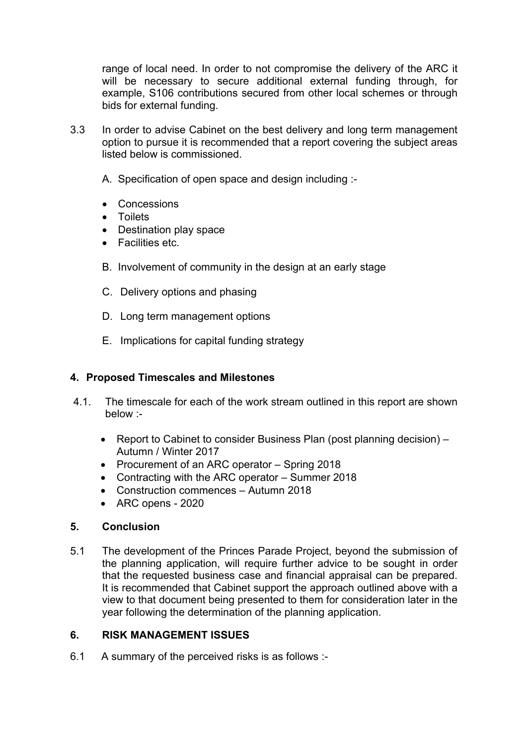range of local need. In order to not compromise the delivery of the ARC it will be necessary to secure additional external funding through, for example, S106 contributions secured from other local schemes or through bids for external funding.

- 3.3 In order to advise Cabinet on the best delivery and long term management option to pursue it is recommended that a report covering the subject areas listed below is commissioned.
	- A. Specification of open space and design including :-
	- Concessions
	- Toilets
	- Destination play space
	- **•** Facilities etc.
	- B. Involvement of community in the design at an early stage
	- C. Delivery options and phasing
	- D. Long term management options
	- E. Implications for capital funding strategy

## **4. Proposed Timescales and Milestones**

- 4.1. The timescale for each of the work stream outlined in this report are shown below :-
	- Report to Cabinet to consider Business Plan (post planning decision) Autumn / Winter 2017
	- Procurement of an ARC operator Spring 2018
	- Contracting with the ARC operator Summer 2018
	- Construction commences Autumn 2018
	- ARC opens 2020

## **5. Conclusion**

5.1 The development of the Princes Parade Project, beyond the submission of the planning application, will require further advice to be sought in order that the requested business case and financial appraisal can be prepared. It is recommended that Cabinet support the approach outlined above with a view to that document being presented to them for consideration later in the year following the determination of the planning application.

# **6. RISK MANAGEMENT ISSUES**

6.1 A summary of the perceived risks is as follows :-